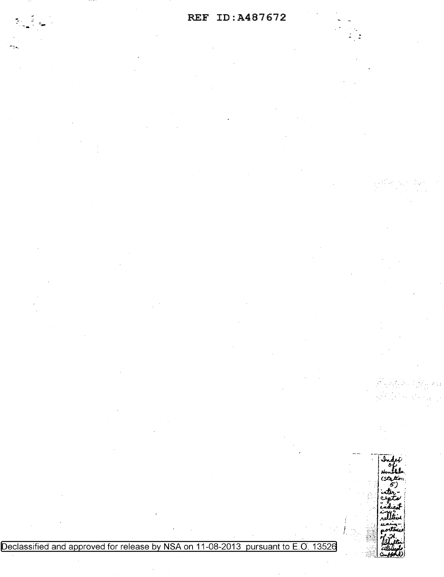## REF ID: A487672

Declassified and approved for release by NSA on 11-08-2013 pursuant to E.O. 13526